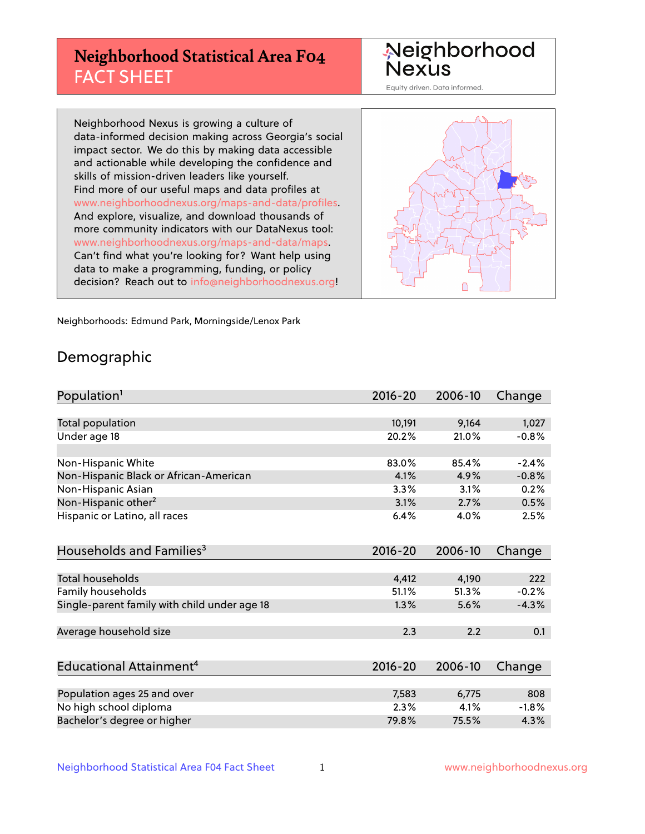# **Neighborhood Statistical Area F04** FACT SHEET

Neighborhood Nexus

Equity driven. Data informed.

Neighborhood Nexus is growing a culture of data-informed decision making across Georgia's social impact sector. We do this by making data accessible and actionable while developing the confidence and skills of mission-driven leaders like yourself. Find more of our useful maps and data profiles at www.neighborhoodnexus.org/maps-and-data/profiles. And explore, visualize, and download thousands of more community indicators with our DataNexus tool: www.neighborhoodnexus.org/maps-and-data/maps. Can't find what you're looking for? Want help using data to make a programming, funding, or policy decision? Reach out to [info@neighborhoodnexus.org!](mailto:info@neighborhoodnexus.org)



Neighborhoods: Edmund Park, Morningside/Lenox Park

### Demographic

| Population <sup>1</sup>                      | $2016 - 20$ | 2006-10 | Change  |
|----------------------------------------------|-------------|---------|---------|
|                                              |             |         |         |
| Total population                             | 10,191      | 9,164   | 1,027   |
| Under age 18                                 | 20.2%       | 21.0%   | $-0.8%$ |
|                                              |             |         |         |
| Non-Hispanic White                           | 83.0%       | 85.4%   | $-2.4%$ |
| Non-Hispanic Black or African-American       | 4.1%        | 4.9%    | $-0.8%$ |
| Non-Hispanic Asian                           | 3.3%        | 3.1%    | 0.2%    |
| Non-Hispanic other <sup>2</sup>              | 3.1%        | 2.7%    | 0.5%    |
| Hispanic or Latino, all races                | 6.4%        | 4.0%    | 2.5%    |
|                                              |             |         |         |
| Households and Families <sup>3</sup>         | $2016 - 20$ | 2006-10 | Change  |
|                                              |             |         |         |
| <b>Total households</b>                      | 4,412       | 4,190   | 222     |
| Family households                            | 51.1%       | 51.3%   | $-0.2%$ |
| Single-parent family with child under age 18 | 1.3%        | 5.6%    | $-4.3%$ |
|                                              |             |         |         |
| Average household size                       | 2.3         | 2.2     | 0.1     |
|                                              |             |         |         |
| Educational Attainment <sup>4</sup>          | 2016-20     | 2006-10 | Change  |
|                                              |             |         |         |
| Population ages 25 and over                  | 7,583       | 6,775   | 808     |
| No high school diploma                       | 2.3%        | 4.1%    | $-1.8%$ |
| Bachelor's degree or higher                  | 79.8%       | 75.5%   | 4.3%    |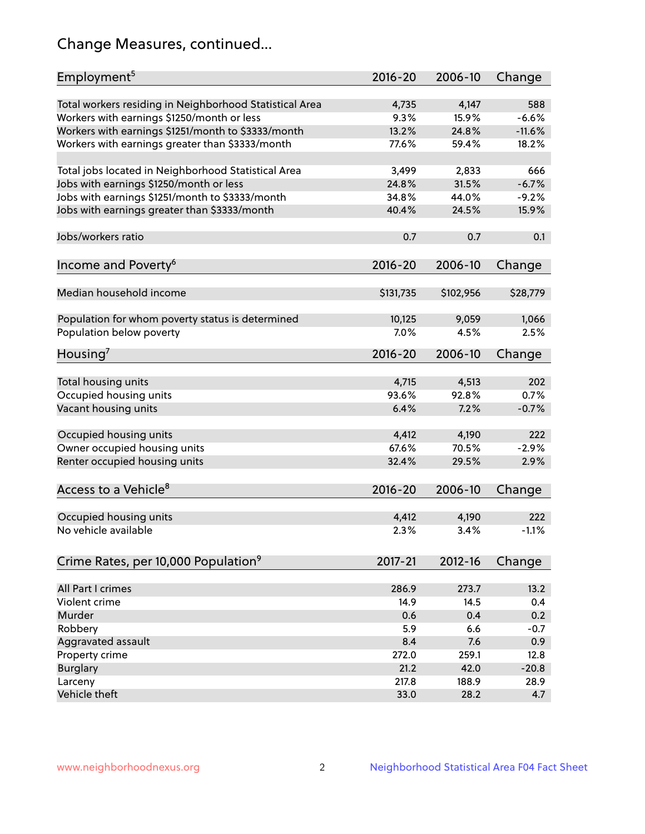# Change Measures, continued...

| Employment <sup>5</sup>                                 | $2016 - 20$ | 2006-10   | Change   |
|---------------------------------------------------------|-------------|-----------|----------|
| Total workers residing in Neighborhood Statistical Area | 4,735       | 4,147     | 588      |
| Workers with earnings \$1250/month or less              | 9.3%        | 15.9%     | $-6.6%$  |
| Workers with earnings \$1251/month to \$3333/month      | 13.2%       | 24.8%     | $-11.6%$ |
| Workers with earnings greater than \$3333/month         | 77.6%       | 59.4%     | 18.2%    |
|                                                         |             |           |          |
| Total jobs located in Neighborhood Statistical Area     | 3,499       | 2,833     | 666      |
| Jobs with earnings \$1250/month or less                 | 24.8%       | 31.5%     | $-6.7%$  |
| Jobs with earnings \$1251/month to \$3333/month         | 34.8%       | 44.0%     | $-9.2%$  |
| Jobs with earnings greater than \$3333/month            | 40.4%       | 24.5%     | 15.9%    |
|                                                         |             |           |          |
| Jobs/workers ratio                                      | 0.7         | 0.7       | 0.1      |
|                                                         |             |           |          |
| Income and Poverty <sup>6</sup>                         | $2016 - 20$ | 2006-10   | Change   |
|                                                         |             |           |          |
| Median household income                                 | \$131,735   | \$102,956 | \$28,779 |
|                                                         |             |           |          |
| Population for whom poverty status is determined        | 10,125      | 9,059     | 1,066    |
| Population below poverty                                | 7.0%        | 4.5%      | 2.5%     |
| Housing'                                                | $2016 - 20$ | 2006-10   | Change   |
|                                                         |             |           |          |
| Total housing units                                     | 4,715       | 4,513     | 202      |
| Occupied housing units                                  | 93.6%       | 92.8%     | 0.7%     |
| Vacant housing units                                    | 6.4%        | 7.2%      | $-0.7%$  |
|                                                         |             |           |          |
| Occupied housing units                                  | 4,412       | 4,190     | 222      |
| Owner occupied housing units                            | 67.6%       | 70.5%     | $-2.9%$  |
| Renter occupied housing units                           | 32.4%       | 29.5%     | 2.9%     |
|                                                         |             |           |          |
| Access to a Vehicle <sup>8</sup>                        | $2016 - 20$ | 2006-10   | Change   |
|                                                         |             |           |          |
| Occupied housing units                                  | 4,412       | 4,190     | 222      |
| No vehicle available                                    | 2.3%        | 3.4%      | $-1.1%$  |
|                                                         |             |           |          |
| Crime Rates, per 10,000 Population <sup>9</sup>         | 2017-21     | 2012-16   | Change   |
|                                                         |             |           |          |
| All Part I crimes                                       | 286.9       | 273.7     | 13.2     |
| Violent crime                                           | 14.9        | 14.5      | 0.4      |
| Murder                                                  | 0.6         | 0.4       | 0.2      |
| Robbery                                                 | 5.9         | 6.6       | $-0.7$   |
| Aggravated assault                                      | 8.4         | 7.6       | 0.9      |
| Property crime                                          | 272.0       | 259.1     | 12.8     |
| <b>Burglary</b>                                         | 21.2        | 42.0      | $-20.8$  |
| Larceny                                                 | 217.8       | 188.9     | 28.9     |
| Vehicle theft                                           | 33.0        | 28.2      | 4.7      |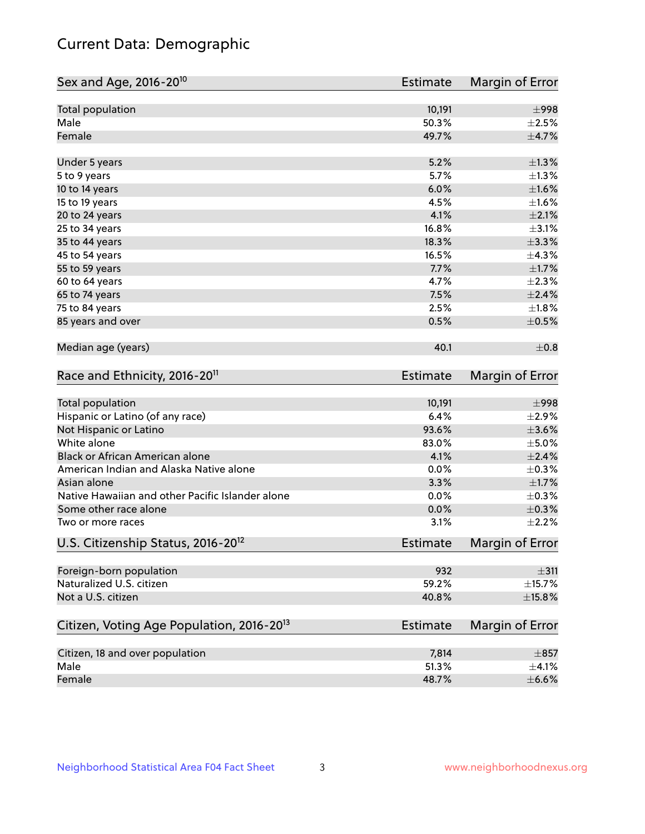# Current Data: Demographic

| Total population<br>10,191<br>Male<br>50.3%<br>Female<br>49.7%<br>$\pm$ 4.7%<br>5.2%<br>$\pm$ 1.3%<br>Under 5 years<br>5.7%<br>$\pm 1.3\%$<br>5 to 9 years<br>6.0%<br>$\pm1.6\%$<br>10 to 14 years<br>4.5%<br>15 to 19 years<br>$\pm 2.1\%$<br>4.1%<br>20 to 24 years<br>$\pm$ 3.1%<br>16.8%<br>25 to 34 years<br>$\pm$ 3.3%<br>35 to 44 years<br>18.3%<br>16.5%<br>45 to 54 years<br>55 to 59 years<br>7.7%<br>4.7%<br>60 to 64 years<br>7.5%<br>$\pm 2.4\%$<br>65 to 74 years<br>75 to 84 years<br>2.5%<br>±1.8%<br>85 years and over<br>0.5%<br>$\pm$ 0.5%<br>Median age (years)<br>40.1<br>$\pm$ 0.8<br>Race and Ethnicity, 2016-20 <sup>11</sup><br><b>Estimate</b><br><b>Total population</b><br>10,191<br>$\pm$ 998<br>Hispanic or Latino (of any race)<br>6.4%<br>$\pm 2.9\%$<br>93.6%<br>$\pm 3.6\%$<br>Not Hispanic or Latino<br>White alone<br>83.0%<br>$\pm$ 5.0%<br>Black or African American alone<br>4.1%<br>$\pm 2.4\%$<br>American Indian and Alaska Native alone<br>0.0%<br>$\pm$ 0.3%<br>3.3%<br>$\pm1.7\%$<br>Asian alone<br>Native Hawaiian and other Pacific Islander alone<br>0.0%<br>$\pm$ 0.3%<br>$\pm$ 0.3%<br>Some other race alone<br>0.0%<br>3.1%<br>$\pm 2.2\%$<br>Two or more races<br>U.S. Citizenship Status, 2016-20 <sup>12</sup><br><b>Estimate</b><br>Foreign-born population<br>932<br>Naturalized U.S. citizen<br>59.2%<br>Not a U.S. citizen<br>40.8%<br>$\pm$ 15.8%<br>Citizen, Voting Age Population, 2016-20 <sup>13</sup><br>Estimate<br>Citizen, 18 and over population<br>7,814<br>$\pm$ 857<br>Male<br>51.3%<br>$\pm$ 4.1%<br>Female<br>48.7%<br>$\pm$ 6.6% | Sex and Age, 2016-20 <sup>10</sup> | <b>Estimate</b> | Margin of Error |
|------------------------------------------------------------------------------------------------------------------------------------------------------------------------------------------------------------------------------------------------------------------------------------------------------------------------------------------------------------------------------------------------------------------------------------------------------------------------------------------------------------------------------------------------------------------------------------------------------------------------------------------------------------------------------------------------------------------------------------------------------------------------------------------------------------------------------------------------------------------------------------------------------------------------------------------------------------------------------------------------------------------------------------------------------------------------------------------------------------------------------------------------------------------------------------------------------------------------------------------------------------------------------------------------------------------------------------------------------------------------------------------------------------------------------------------------------------------------------------------------------------------------------------------------------------------------------------------------------------|------------------------------------|-----------------|-----------------|
|                                                                                                                                                                                                                                                                                                                                                                                                                                                                                                                                                                                                                                                                                                                                                                                                                                                                                                                                                                                                                                                                                                                                                                                                                                                                                                                                                                                                                                                                                                                                                                                                            |                                    |                 | $\pm$ 998       |
|                                                                                                                                                                                                                                                                                                                                                                                                                                                                                                                                                                                                                                                                                                                                                                                                                                                                                                                                                                                                                                                                                                                                                                                                                                                                                                                                                                                                                                                                                                                                                                                                            |                                    |                 | $\pm 2.5\%$     |
|                                                                                                                                                                                                                                                                                                                                                                                                                                                                                                                                                                                                                                                                                                                                                                                                                                                                                                                                                                                                                                                                                                                                                                                                                                                                                                                                                                                                                                                                                                                                                                                                            |                                    |                 |                 |
|                                                                                                                                                                                                                                                                                                                                                                                                                                                                                                                                                                                                                                                                                                                                                                                                                                                                                                                                                                                                                                                                                                                                                                                                                                                                                                                                                                                                                                                                                                                                                                                                            |                                    |                 |                 |
|                                                                                                                                                                                                                                                                                                                                                                                                                                                                                                                                                                                                                                                                                                                                                                                                                                                                                                                                                                                                                                                                                                                                                                                                                                                                                                                                                                                                                                                                                                                                                                                                            |                                    |                 |                 |
|                                                                                                                                                                                                                                                                                                                                                                                                                                                                                                                                                                                                                                                                                                                                                                                                                                                                                                                                                                                                                                                                                                                                                                                                                                                                                                                                                                                                                                                                                                                                                                                                            |                                    |                 |                 |
|                                                                                                                                                                                                                                                                                                                                                                                                                                                                                                                                                                                                                                                                                                                                                                                                                                                                                                                                                                                                                                                                                                                                                                                                                                                                                                                                                                                                                                                                                                                                                                                                            |                                    |                 | $\pm 1.6\%$     |
|                                                                                                                                                                                                                                                                                                                                                                                                                                                                                                                                                                                                                                                                                                                                                                                                                                                                                                                                                                                                                                                                                                                                                                                                                                                                                                                                                                                                                                                                                                                                                                                                            |                                    |                 |                 |
|                                                                                                                                                                                                                                                                                                                                                                                                                                                                                                                                                                                                                                                                                                                                                                                                                                                                                                                                                                                                                                                                                                                                                                                                                                                                                                                                                                                                                                                                                                                                                                                                            |                                    |                 |                 |
|                                                                                                                                                                                                                                                                                                                                                                                                                                                                                                                                                                                                                                                                                                                                                                                                                                                                                                                                                                                                                                                                                                                                                                                                                                                                                                                                                                                                                                                                                                                                                                                                            |                                    |                 |                 |
|                                                                                                                                                                                                                                                                                                                                                                                                                                                                                                                                                                                                                                                                                                                                                                                                                                                                                                                                                                                                                                                                                                                                                                                                                                                                                                                                                                                                                                                                                                                                                                                                            |                                    |                 | ±4.3%           |
|                                                                                                                                                                                                                                                                                                                                                                                                                                                                                                                                                                                                                                                                                                                                                                                                                                                                                                                                                                                                                                                                                                                                                                                                                                                                                                                                                                                                                                                                                                                                                                                                            |                                    |                 | $\pm$ 1.7%      |
|                                                                                                                                                                                                                                                                                                                                                                                                                                                                                                                                                                                                                                                                                                                                                                                                                                                                                                                                                                                                                                                                                                                                                                                                                                                                                                                                                                                                                                                                                                                                                                                                            |                                    |                 | $\pm 2.3\%$     |
|                                                                                                                                                                                                                                                                                                                                                                                                                                                                                                                                                                                                                                                                                                                                                                                                                                                                                                                                                                                                                                                                                                                                                                                                                                                                                                                                                                                                                                                                                                                                                                                                            |                                    |                 |                 |
|                                                                                                                                                                                                                                                                                                                                                                                                                                                                                                                                                                                                                                                                                                                                                                                                                                                                                                                                                                                                                                                                                                                                                                                                                                                                                                                                                                                                                                                                                                                                                                                                            |                                    |                 |                 |
|                                                                                                                                                                                                                                                                                                                                                                                                                                                                                                                                                                                                                                                                                                                                                                                                                                                                                                                                                                                                                                                                                                                                                                                                                                                                                                                                                                                                                                                                                                                                                                                                            |                                    |                 |                 |
|                                                                                                                                                                                                                                                                                                                                                                                                                                                                                                                                                                                                                                                                                                                                                                                                                                                                                                                                                                                                                                                                                                                                                                                                                                                                                                                                                                                                                                                                                                                                                                                                            |                                    |                 |                 |
|                                                                                                                                                                                                                                                                                                                                                                                                                                                                                                                                                                                                                                                                                                                                                                                                                                                                                                                                                                                                                                                                                                                                                                                                                                                                                                                                                                                                                                                                                                                                                                                                            |                                    |                 | Margin of Error |
|                                                                                                                                                                                                                                                                                                                                                                                                                                                                                                                                                                                                                                                                                                                                                                                                                                                                                                                                                                                                                                                                                                                                                                                                                                                                                                                                                                                                                                                                                                                                                                                                            |                                    |                 |                 |
|                                                                                                                                                                                                                                                                                                                                                                                                                                                                                                                                                                                                                                                                                                                                                                                                                                                                                                                                                                                                                                                                                                                                                                                                                                                                                                                                                                                                                                                                                                                                                                                                            |                                    |                 |                 |
|                                                                                                                                                                                                                                                                                                                                                                                                                                                                                                                                                                                                                                                                                                                                                                                                                                                                                                                                                                                                                                                                                                                                                                                                                                                                                                                                                                                                                                                                                                                                                                                                            |                                    |                 |                 |
|                                                                                                                                                                                                                                                                                                                                                                                                                                                                                                                                                                                                                                                                                                                                                                                                                                                                                                                                                                                                                                                                                                                                                                                                                                                                                                                                                                                                                                                                                                                                                                                                            |                                    |                 |                 |
|                                                                                                                                                                                                                                                                                                                                                                                                                                                                                                                                                                                                                                                                                                                                                                                                                                                                                                                                                                                                                                                                                                                                                                                                                                                                                                                                                                                                                                                                                                                                                                                                            |                                    |                 |                 |
|                                                                                                                                                                                                                                                                                                                                                                                                                                                                                                                                                                                                                                                                                                                                                                                                                                                                                                                                                                                                                                                                                                                                                                                                                                                                                                                                                                                                                                                                                                                                                                                                            |                                    |                 |                 |
|                                                                                                                                                                                                                                                                                                                                                                                                                                                                                                                                                                                                                                                                                                                                                                                                                                                                                                                                                                                                                                                                                                                                                                                                                                                                                                                                                                                                                                                                                                                                                                                                            |                                    |                 |                 |
|                                                                                                                                                                                                                                                                                                                                                                                                                                                                                                                                                                                                                                                                                                                                                                                                                                                                                                                                                                                                                                                                                                                                                                                                                                                                                                                                                                                                                                                                                                                                                                                                            |                                    |                 |                 |
|                                                                                                                                                                                                                                                                                                                                                                                                                                                                                                                                                                                                                                                                                                                                                                                                                                                                                                                                                                                                                                                                                                                                                                                                                                                                                                                                                                                                                                                                                                                                                                                                            |                                    |                 |                 |
|                                                                                                                                                                                                                                                                                                                                                                                                                                                                                                                                                                                                                                                                                                                                                                                                                                                                                                                                                                                                                                                                                                                                                                                                                                                                                                                                                                                                                                                                                                                                                                                                            |                                    |                 |                 |
|                                                                                                                                                                                                                                                                                                                                                                                                                                                                                                                                                                                                                                                                                                                                                                                                                                                                                                                                                                                                                                                                                                                                                                                                                                                                                                                                                                                                                                                                                                                                                                                                            |                                    |                 | Margin of Error |
|                                                                                                                                                                                                                                                                                                                                                                                                                                                                                                                                                                                                                                                                                                                                                                                                                                                                                                                                                                                                                                                                                                                                                                                                                                                                                                                                                                                                                                                                                                                                                                                                            |                                    |                 | $\pm$ 311       |
|                                                                                                                                                                                                                                                                                                                                                                                                                                                                                                                                                                                                                                                                                                                                                                                                                                                                                                                                                                                                                                                                                                                                                                                                                                                                                                                                                                                                                                                                                                                                                                                                            |                                    |                 | $\pm$ 15.7%     |
|                                                                                                                                                                                                                                                                                                                                                                                                                                                                                                                                                                                                                                                                                                                                                                                                                                                                                                                                                                                                                                                                                                                                                                                                                                                                                                                                                                                                                                                                                                                                                                                                            |                                    |                 |                 |
|                                                                                                                                                                                                                                                                                                                                                                                                                                                                                                                                                                                                                                                                                                                                                                                                                                                                                                                                                                                                                                                                                                                                                                                                                                                                                                                                                                                                                                                                                                                                                                                                            |                                    |                 | Margin of Error |
|                                                                                                                                                                                                                                                                                                                                                                                                                                                                                                                                                                                                                                                                                                                                                                                                                                                                                                                                                                                                                                                                                                                                                                                                                                                                                                                                                                                                                                                                                                                                                                                                            |                                    |                 |                 |
|                                                                                                                                                                                                                                                                                                                                                                                                                                                                                                                                                                                                                                                                                                                                                                                                                                                                                                                                                                                                                                                                                                                                                                                                                                                                                                                                                                                                                                                                                                                                                                                                            |                                    |                 |                 |
|                                                                                                                                                                                                                                                                                                                                                                                                                                                                                                                                                                                                                                                                                                                                                                                                                                                                                                                                                                                                                                                                                                                                                                                                                                                                                                                                                                                                                                                                                                                                                                                                            |                                    |                 |                 |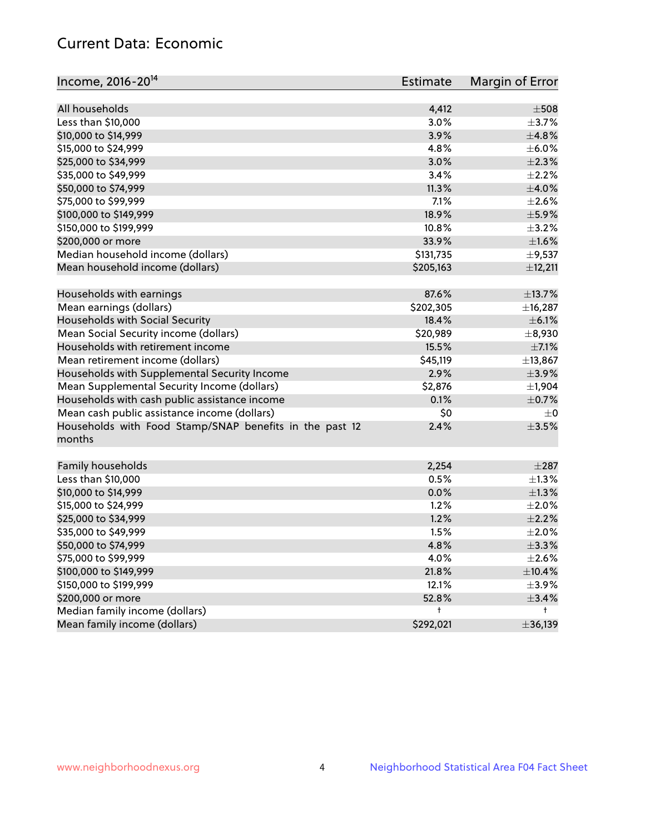# Current Data: Economic

| Income, 2016-20 <sup>14</sup>                                     | <b>Estimate</b> | Margin of Error  |
|-------------------------------------------------------------------|-----------------|------------------|
| All households                                                    | 4,412           | $\pm$ 508        |
| Less than \$10,000                                                | 3.0%            | $\pm$ 3.7%       |
| \$10,000 to \$14,999                                              | 3.9%            | ±4.8%            |
| \$15,000 to \$24,999                                              | 4.8%            | $\pm$ 6.0%       |
| \$25,000 to \$34,999                                              | 3.0%            | $\pm 2.3\%$      |
|                                                                   |                 |                  |
| \$35,000 to \$49,999                                              | 3.4%            | $\pm 2.2\%$      |
| \$50,000 to \$74,999                                              | 11.3%           | $\pm 4.0\%$      |
| \$75,000 to \$99,999                                              | 7.1%            | $\pm 2.6\%$      |
| \$100,000 to \$149,999                                            | 18.9%           | $\pm$ 5.9%       |
| \$150,000 to \$199,999                                            | 10.8%           | $\pm$ 3.2%       |
| \$200,000 or more                                                 | 33.9%           | $\pm1.6\%$       |
| Median household income (dollars)                                 | \$131,735       | $\pm$ 9,537      |
| Mean household income (dollars)                                   | \$205,163       | ±12,211          |
| Households with earnings                                          | 87.6%           | ±13.7%           |
| Mean earnings (dollars)                                           | \$202,305       | ±16,287          |
| Households with Social Security                                   | 18.4%           | $\pm$ 6.1%       |
| Mean Social Security income (dollars)                             | \$20,989        | ±8,930           |
| Households with retirement income                                 | 15.5%           | $\pm$ 7.1%       |
| Mean retirement income (dollars)                                  | \$45,119        | ±13,867          |
| Households with Supplemental Security Income                      | 2.9%            | $\pm$ 3.9%       |
| Mean Supplemental Security Income (dollars)                       | \$2,876         | ±1,904           |
| Households with cash public assistance income                     | 0.1%            | $\pm$ 0.7%       |
| Mean cash public assistance income (dollars)                      | \$0             | $\pm 0$          |
| Households with Food Stamp/SNAP benefits in the past 12<br>months | 2.4%            | $\pm 3.5\%$      |
| Family households                                                 | 2,254           | $\pm 287$        |
| Less than \$10,000                                                | 0.5%            | $\pm 1.3\%$      |
| \$10,000 to \$14,999                                              | 0.0%            | $\pm 1.3\%$      |
| \$15,000 to \$24,999                                              | 1.2%            | $\pm 2.0\%$      |
| \$25,000 to \$34,999                                              | 1.2%            | $\pm 2.2\%$      |
| \$35,000 to \$49,999                                              | 1.5%            | $\pm 2.0\%$      |
| \$50,000 to \$74,999                                              | 4.8%            | $\pm$ 3.3%       |
| \$75,000 to \$99,999                                              | 4.0%            | $\pm 2.6\%$      |
| \$100,000 to \$149,999                                            | 21.8%           |                  |
|                                                                   |                 | ±10.4%           |
| \$150,000 to \$199,999                                            | 12.1%           | $\pm$ 3.9%       |
| \$200,000 or more                                                 | 52.8%           | $\pm$ 3.4%<br>t. |
| Median family income (dollars)                                    | t               |                  |
| Mean family income (dollars)                                      | \$292,021       | ±36,139          |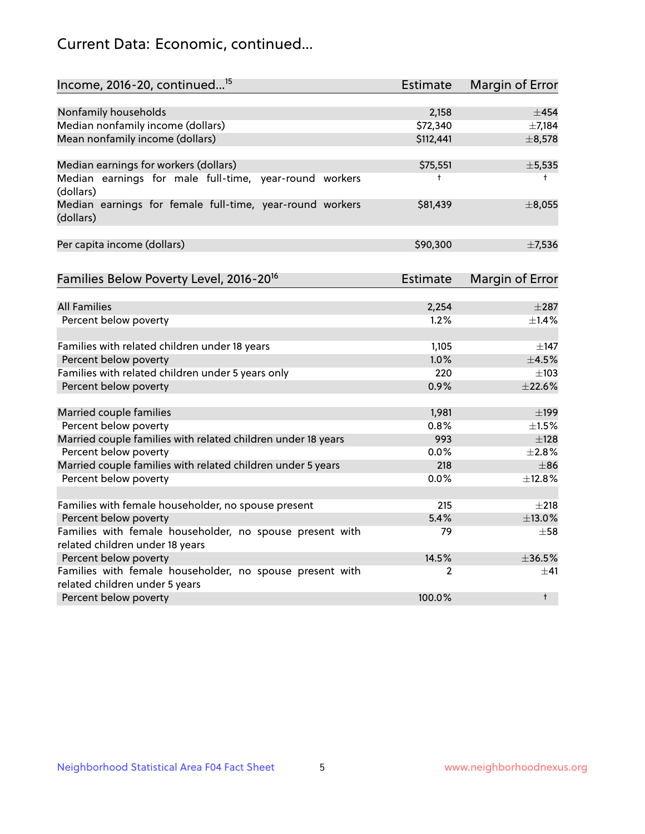# Current Data: Economic, continued...

| Income, 2016-20, continued <sup>15</sup>                                                   | <b>Estimate</b> | <b>Margin of Error</b> |
|--------------------------------------------------------------------------------------------|-----------------|------------------------|
|                                                                                            |                 |                        |
| Nonfamily households                                                                       | 2,158           | $\pm$ 454              |
| Median nonfamily income (dollars)                                                          | \$72,340        | $\pm$ 7,184            |
| Mean nonfamily income (dollars)                                                            | \$112,441       | ±8,578                 |
| Median earnings for workers (dollars)                                                      | \$75,551        | ±5,535                 |
| Median earnings for male full-time, year-round workers<br>(dollars)                        | $^{\dagger}$    | $^+$                   |
| Median earnings for female full-time, year-round workers<br>(dollars)                      | \$81,439        | ±8,055                 |
| Per capita income (dollars)                                                                | \$90,300        | $\pm$ 7,536            |
| Families Below Poverty Level, 2016-20 <sup>16</sup>                                        | <b>Estimate</b> | <b>Margin of Error</b> |
|                                                                                            |                 |                        |
| <b>All Families</b>                                                                        | 2,254           | $\pm 287$              |
| Percent below poverty                                                                      | 1.2%            | $\pm$ 1.4%             |
| Families with related children under 18 years                                              | 1,105           | $\pm$ 147              |
| Percent below poverty                                                                      | 1.0%            | $\pm$ 4.5%             |
| Families with related children under 5 years only                                          | 220             | $\pm 103$              |
| Percent below poverty                                                                      | 0.9%            | ±22.6%                 |
| Married couple families                                                                    | 1,981           | $\pm$ 199              |
| Percent below poverty                                                                      | 0.8%            | $\pm1.5\%$             |
| Married couple families with related children under 18 years                               | 993             | ±128                   |
| Percent below poverty                                                                      | $0.0\%$         | ±2.8%                  |
| Married couple families with related children under 5 years                                | 218             | $\pm$ 86               |
| Percent below poverty                                                                      | $0.0\%$         | ±12.8%                 |
|                                                                                            |                 |                        |
| Families with female householder, no spouse present                                        | 215             | $\pm 218$              |
| Percent below poverty                                                                      | 5.4%            | ±13.0%                 |
| Families with female householder, no spouse present with                                   | 79              | $+58$                  |
| related children under 18 years                                                            |                 |                        |
| Percent below poverty                                                                      | 14.5%           | ±36.5%                 |
| Families with female householder, no spouse present with<br>related children under 5 years | 2               | $\pm$ 41               |
| Percent below poverty                                                                      | 100.0%          | $^{\dagger}$           |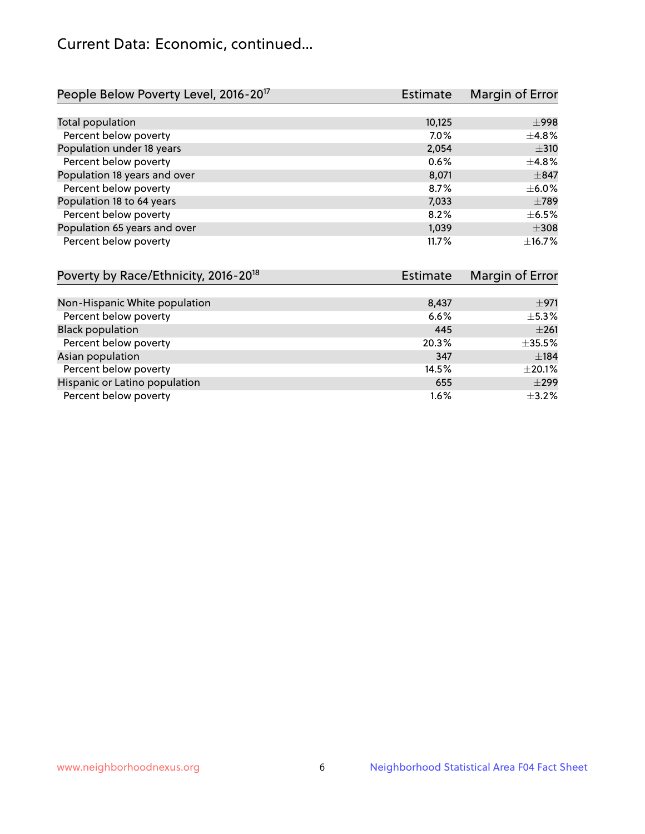# Current Data: Economic, continued...

| People Below Poverty Level, 2016-20 <sup>17</sup> | <b>Estimate</b> | Margin of Error |
|---------------------------------------------------|-----------------|-----------------|
|                                                   |                 |                 |
| Total population                                  | 10,125          | $\pm$ 998       |
| Percent below poverty                             | 7.0%            | $\pm$ 4.8%      |
| Population under 18 years                         | 2,054           | $\pm$ 310       |
| Percent below poverty                             | 0.6%            | $\pm$ 4.8%      |
| Population 18 years and over                      | 8,071           | $\pm$ 847       |
| Percent below poverty                             | 8.7%            | $\pm$ 6.0%      |
| Population 18 to 64 years                         | 7,033           | $\pm 789$       |
| Percent below poverty                             | 8.2%            | $\pm$ 6.5%      |
| Population 65 years and over                      | 1,039           | $\pm$ 308       |
| Percent below poverty                             | 11.7%           | $+16.7%$        |

| Poverty by Race/Ethnicity, 2016-20 <sup>18</sup> | <b>Estimate</b> | Margin of Error |
|--------------------------------------------------|-----------------|-----------------|
|                                                  |                 |                 |
| Non-Hispanic White population                    | 8,437           | ±971            |
| Percent below poverty                            | 6.6%            | $\pm$ 5.3%      |
| <b>Black population</b>                          | 445             | $\pm 261$       |
| Percent below poverty                            | 20.3%           | ±35.5%          |
| Asian population                                 | 347             | ±184            |
| Percent below poverty                            | 14.5%           | $\pm 20.1\%$    |
| Hispanic or Latino population                    | 655             | $\pm$ 299       |
| Percent below poverty                            | 1.6%            | $\pm$ 3.2%      |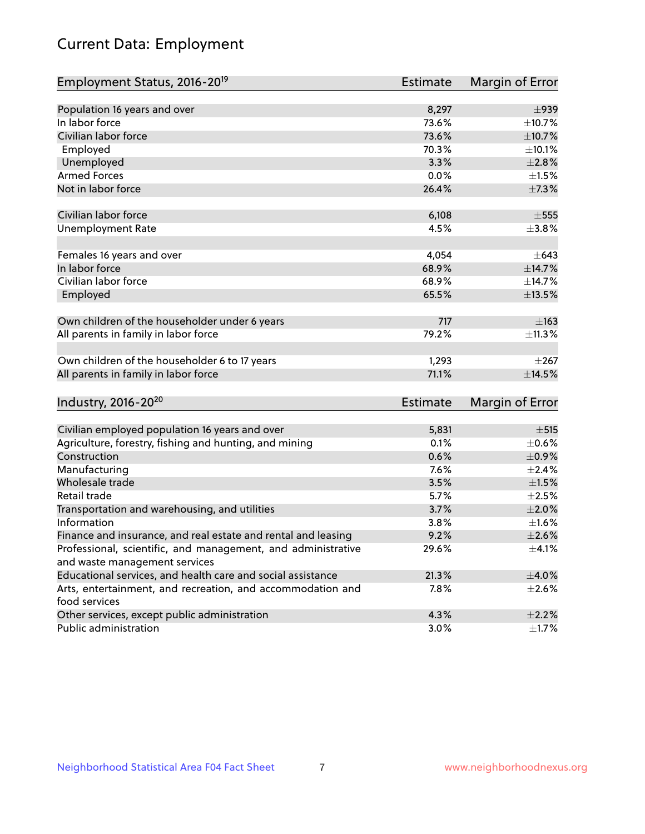# Current Data: Employment

| Employment Status, 2016-20 <sup>19</sup>                                    | <b>Estimate</b> | Margin of Error |
|-----------------------------------------------------------------------------|-----------------|-----------------|
|                                                                             |                 |                 |
| Population 16 years and over                                                | 8,297           | $\pm$ 939       |
| In labor force                                                              | 73.6%           | ±10.7%          |
| Civilian labor force                                                        | 73.6%           | ±10.7%          |
| Employed                                                                    | 70.3%           | ±10.1%          |
| Unemployed                                                                  | 3.3%            | $\pm 2.8\%$     |
| <b>Armed Forces</b>                                                         | 0.0%            | $\pm 1.5\%$     |
| Not in labor force                                                          | 26.4%           | ±7.3%           |
|                                                                             |                 |                 |
| Civilian labor force                                                        | 6,108           | $\pm 555$       |
| <b>Unemployment Rate</b>                                                    | 4.5%            | ±3.8%           |
| Females 16 years and over                                                   | 4,054           | $\pm 643$       |
| In labor force                                                              | 68.9%           | ±14.7%          |
| Civilian labor force                                                        | 68.9%           | ±14.7%          |
| Employed                                                                    | 65.5%           | ±13.5%          |
|                                                                             |                 |                 |
| Own children of the householder under 6 years                               | 717             | $\pm 163$       |
| All parents in family in labor force                                        | 79.2%           | ±11.3%          |
| Own children of the householder 6 to 17 years                               | 1,293           | $\pm 267$       |
| All parents in family in labor force                                        | 71.1%           | ±14.5%          |
|                                                                             |                 |                 |
| Industry, 2016-20 <sup>20</sup>                                             | <b>Estimate</b> | Margin of Error |
|                                                                             |                 |                 |
| Civilian employed population 16 years and over                              | 5,831           | $\pm$ 515       |
| Agriculture, forestry, fishing and hunting, and mining                      | 0.1%            | $\pm$ 0.6%      |
| Construction                                                                | 0.6%            | $\pm$ 0.9%      |
| Manufacturing                                                               | 7.6%            | $\pm 2.4\%$     |
| Wholesale trade                                                             | 3.5%            | $\pm 1.5\%$     |
| Retail trade                                                                | 5.7%            | $\pm 2.5\%$     |
| Transportation and warehousing, and utilities                               | 3.7%            | $\pm 2.0\%$     |
| Information                                                                 | 3.8%            | $\pm1.6\%$      |
| Finance and insurance, and real estate and rental and leasing               | 9.2%            | $\pm 2.6\%$     |
| Professional, scientific, and management, and administrative                | 29.6%           | $\pm$ 4.1%      |
| and waste management services                                               |                 |                 |
| Educational services, and health care and social assistance                 | 21.3%           | $\pm$ 4.0%      |
| Arts, entertainment, and recreation, and accommodation and<br>food services | 7.8%            | $\pm 2.6\%$     |
| Other services, except public administration                                | 4.3%            | $\pm 2.2\%$     |
| Public administration                                                       | 3.0%            | $\pm$ 1.7%      |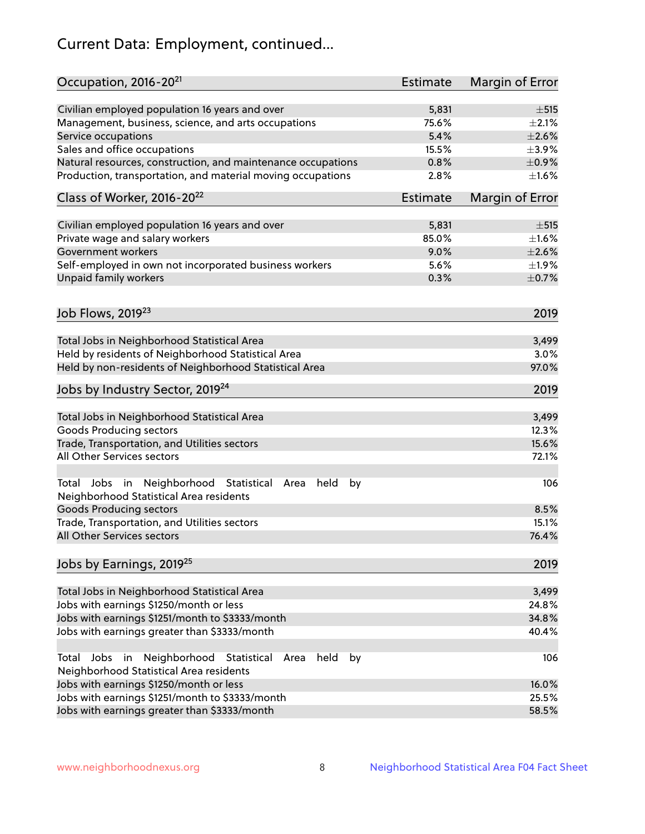# Current Data: Employment, continued...

| Occupation, 2016-20 <sup>21</sup>                                                                       | <b>Estimate</b> | Margin of Error |
|---------------------------------------------------------------------------------------------------------|-----------------|-----------------|
| Civilian employed population 16 years and over                                                          | 5,831           | $\pm$ 515       |
| Management, business, science, and arts occupations                                                     | 75.6%           | $\pm 2.1\%$     |
| Service occupations                                                                                     | 5.4%            | $\pm 2.6\%$     |
| Sales and office occupations                                                                            | 15.5%           | $\pm$ 3.9%      |
| Natural resources, construction, and maintenance occupations                                            | 0.8%            | $\pm$ 0.9%      |
| Production, transportation, and material moving occupations                                             | 2.8%            | $\pm 1.6\%$     |
| Class of Worker, 2016-20 <sup>22</sup>                                                                  | <b>Estimate</b> | Margin of Error |
| Civilian employed population 16 years and over                                                          | 5,831           | $\pm$ 515       |
| Private wage and salary workers                                                                         | 85.0%           | $\pm 1.6\%$     |
| Government workers                                                                                      | 9.0%            | $\pm 2.6\%$     |
| Self-employed in own not incorporated business workers                                                  | 5.6%            | ±1.9%           |
| Unpaid family workers                                                                                   | 0.3%            | $\pm$ 0.7%      |
|                                                                                                         |                 | 2019            |
| Job Flows, 2019 <sup>23</sup>                                                                           |                 |                 |
| Total Jobs in Neighborhood Statistical Area                                                             |                 | 3,499           |
| Held by residents of Neighborhood Statistical Area                                                      |                 | 3.0%            |
| Held by non-residents of Neighborhood Statistical Area                                                  |                 | 97.0%           |
| Jobs by Industry Sector, 2019 <sup>24</sup>                                                             |                 | 2019            |
| Total Jobs in Neighborhood Statistical Area                                                             |                 | 3,499           |
| <b>Goods Producing sectors</b>                                                                          |                 | 12.3%           |
| Trade, Transportation, and Utilities sectors                                                            |                 | 15.6%           |
| All Other Services sectors                                                                              |                 | 72.1%           |
| Total Jobs in Neighborhood Statistical<br>held<br>by<br>Area<br>Neighborhood Statistical Area residents |                 | 106             |
| <b>Goods Producing sectors</b>                                                                          |                 | 8.5%            |
| Trade, Transportation, and Utilities sectors                                                            |                 | 15.1%           |
| All Other Services sectors                                                                              |                 | 76.4%           |
| Jobs by Earnings, 2019 <sup>25</sup>                                                                    |                 | 2019            |
| Total Jobs in Neighborhood Statistical Area                                                             |                 | 3,499           |
| Jobs with earnings \$1250/month or less                                                                 |                 | 24.8%           |
| Jobs with earnings \$1251/month to \$3333/month                                                         |                 | 34.8%           |
| Jobs with earnings greater than \$3333/month                                                            |                 | 40.4%           |
| Neighborhood Statistical<br>Jobs<br>in<br>held<br>by<br>Total<br>Area                                   |                 | 106             |
| Neighborhood Statistical Area residents                                                                 |                 |                 |
| Jobs with earnings \$1250/month or less                                                                 |                 | 16.0%           |
| Jobs with earnings \$1251/month to \$3333/month                                                         |                 | 25.5%           |
| Jobs with earnings greater than \$3333/month                                                            |                 | 58.5%           |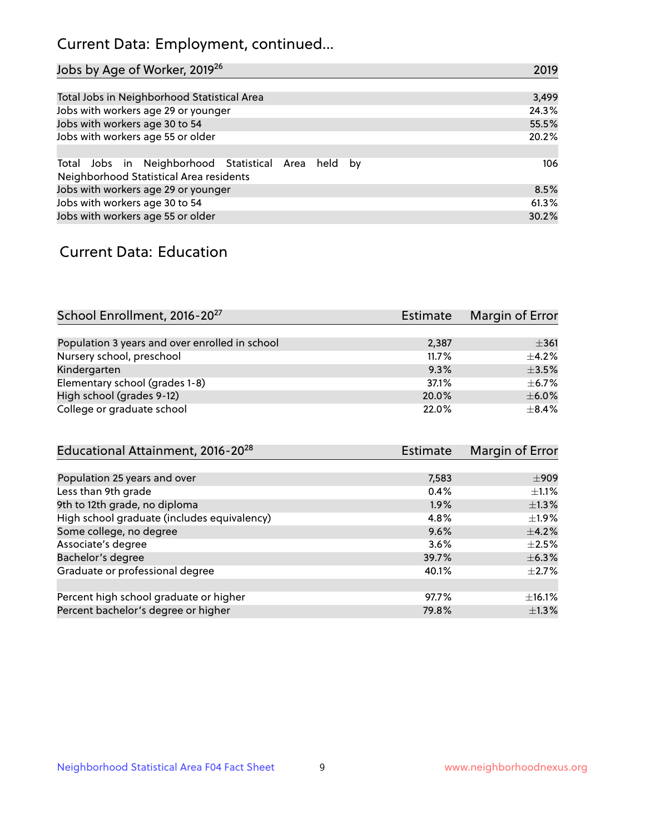# Current Data: Employment, continued...

| Jobs by Age of Worker, 2019 <sup>26</sup>                                                      | 2019  |
|------------------------------------------------------------------------------------------------|-------|
|                                                                                                |       |
| Total Jobs in Neighborhood Statistical Area                                                    | 3,499 |
| Jobs with workers age 29 or younger                                                            | 24.3% |
| Jobs with workers age 30 to 54                                                                 | 55.5% |
| Jobs with workers age 55 or older                                                              | 20.2% |
|                                                                                                |       |
| Total Jobs in Neighborhood Statistical Area held by<br>Neighborhood Statistical Area residents | 106   |
|                                                                                                |       |
| Jobs with workers age 29 or younger                                                            | 8.5%  |
| Jobs with workers age 30 to 54                                                                 | 61.3% |
| Jobs with workers age 55 or older                                                              | 30.2% |

### Current Data: Education

| School Enrollment, 2016-20 <sup>27</sup>       | <b>Estimate</b> | Margin of Error |
|------------------------------------------------|-----------------|-----------------|
|                                                |                 |                 |
| Population 3 years and over enrolled in school | 2,387           | $\pm 361$       |
| Nursery school, preschool                      | 11.7%           | $+4.2%$         |
| Kindergarten                                   | 9.3%            | $\pm$ 3.5%      |
| Elementary school (grades 1-8)                 | 37.1%           | $\pm$ 6.7%      |
| High school (grades 9-12)                      | 20.0%           | $\pm$ 6.0%      |
| College or graduate school                     | 22.0%           | $\pm$ 8.4%      |

| Educational Attainment, 2016-20 <sup>28</sup> | <b>Estimate</b> | Margin of Error |
|-----------------------------------------------|-----------------|-----------------|
|                                               |                 |                 |
| Population 25 years and over                  | 7,583           | $\pm$ 909       |
| Less than 9th grade                           | 0.4%            | $\pm 1.1\%$     |
| 9th to 12th grade, no diploma                 | 1.9%            | $\pm 1.3\%$     |
| High school graduate (includes equivalency)   | 4.8%            | $\pm 1.9\%$     |
| Some college, no degree                       | 9.6%            | $\pm$ 4.2%      |
| Associate's degree                            | 3.6%            | $\pm 2.5\%$     |
| Bachelor's degree                             | 39.7%           | $\pm$ 6.3%      |
| Graduate or professional degree               | 40.1%           | $\pm 2.7\%$     |
|                                               |                 |                 |
| Percent high school graduate or higher        | 97.7%           | $\pm$ 16.1%     |
| Percent bachelor's degree or higher           | 79.8%           | $\pm$ 1.3%      |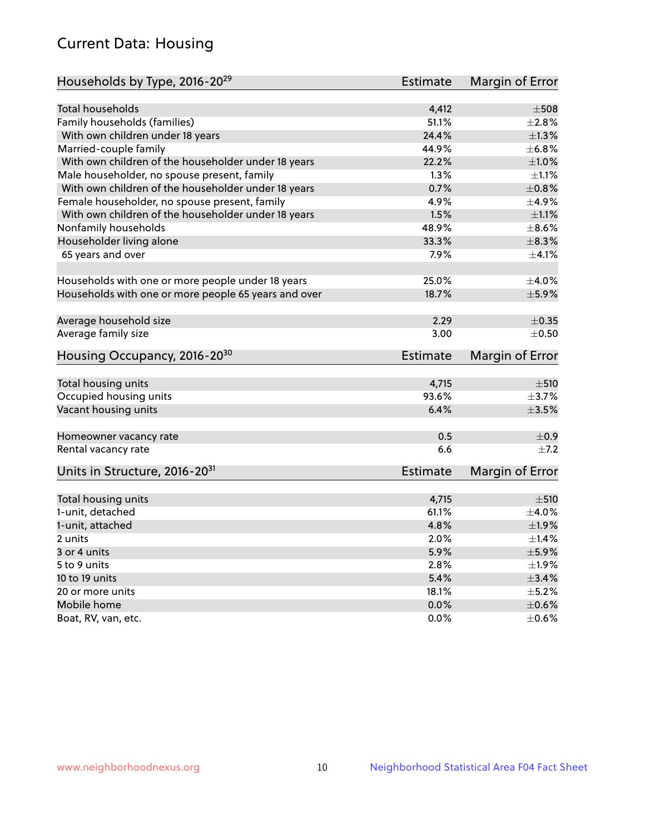# Current Data: Housing

| Households by Type, 2016-20 <sup>29</sup>            | <b>Estimate</b> | Margin of Error |
|------------------------------------------------------|-----------------|-----------------|
|                                                      |                 |                 |
| Total households                                     | 4,412           | $\pm$ 508       |
| Family households (families)                         | 51.1%           | ±2.8%           |
| With own children under 18 years                     | 24.4%           | $\pm 1.3\%$     |
| Married-couple family                                | 44.9%           | ±6.8%           |
| With own children of the householder under 18 years  | 22.2%           | $\pm1.0\%$      |
| Male householder, no spouse present, family          | 1.3%            | $\pm 1.1\%$     |
| With own children of the householder under 18 years  | 0.7%            | $\pm 0.8\%$     |
| Female householder, no spouse present, family        | 4.9%            | ±4.9%           |
| With own children of the householder under 18 years  | 1.5%            | $\pm 1.1\%$     |
| Nonfamily households                                 | 48.9%           | $\pm$ 8.6%      |
| Householder living alone                             | 33.3%           | $\pm$ 8.3%      |
| 65 years and over                                    | $7.9\%$         | $\pm$ 4.1%      |
| Households with one or more people under 18 years    | 25.0%           | $\pm$ 4.0%      |
| Households with one or more people 65 years and over | 18.7%           | $\pm$ 5.9%      |
|                                                      |                 |                 |
| Average household size                               | 2.29            | $\pm$ 0.35      |
| Average family size                                  | 3.00            | $\pm$ 0.50      |
| Housing Occupancy, 2016-20 <sup>30</sup>             | <b>Estimate</b> | Margin of Error |
| Total housing units                                  | 4,715           | ±510            |
| Occupied housing units                               | 93.6%           | $\pm$ 3.7%      |
| Vacant housing units                                 | 6.4%            | $\pm$ 3.5%      |
|                                                      |                 |                 |
| Homeowner vacancy rate                               | 0.5             | $\pm$ 0.9       |
| Rental vacancy rate                                  | 6.6             | $\pm$ 7.2       |
| Units in Structure, 2016-20 <sup>31</sup>            | Estimate        | Margin of Error |
| Total housing units                                  | 4,715           | $\pm 510$       |
| 1-unit, detached                                     | 61.1%           | $\pm$ 4.0%      |
| 1-unit, attached                                     | 4.8%            | ±1.9%           |
| 2 units                                              | 2.0%            | $\pm$ 1.4%      |
| 3 or 4 units                                         | 5.9%            | $\pm$ 5.9%      |
|                                                      | 2.8%            | $\pm 1.9\%$     |
| 5 to 9 units                                         | 5.4%            | $\pm$ 3.4%      |
| 10 to 19 units                                       |                 | $\pm$ 5.2%      |
| 20 or more units                                     | 18.1%           |                 |
| Mobile home                                          | 0.0%            | $\pm$ 0.6%      |
| Boat, RV, van, etc.                                  | $0.0\%$         | $\pm$ 0.6%      |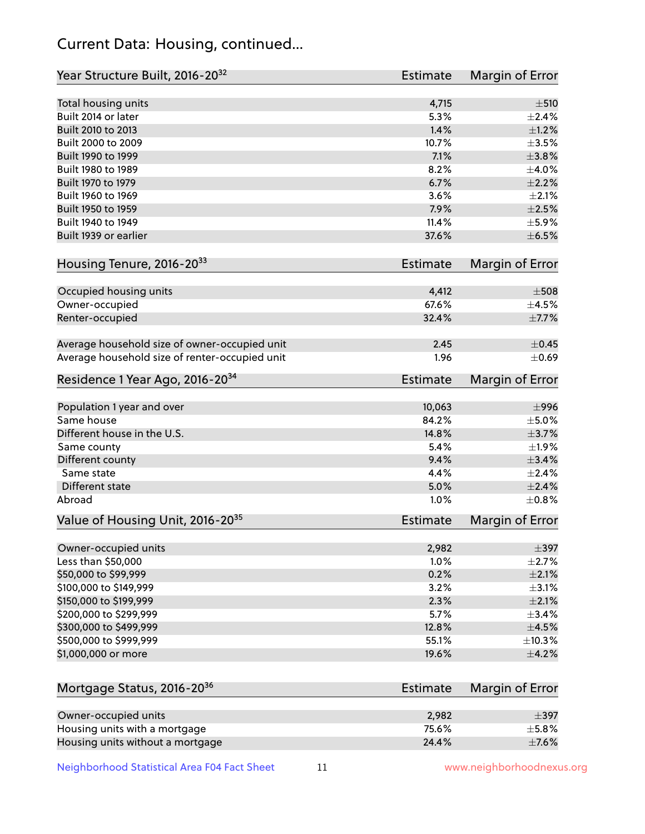# Current Data: Housing, continued...

| Year Structure Built, 2016-20 <sup>32</sup>    | <b>Estimate</b> | <b>Margin of Error</b> |
|------------------------------------------------|-----------------|------------------------|
| Total housing units                            | 4,715           | ±510                   |
| Built 2014 or later                            | 5.3%            | $\pm 2.4\%$            |
| Built 2010 to 2013                             | 1.4%            | $\pm 1.2\%$            |
| Built 2000 to 2009                             | 10.7%           | $\pm 3.5\%$            |
| Built 1990 to 1999                             | 7.1%            | $\pm$ 3.8%             |
| Built 1980 to 1989                             | 8.2%            | $\pm 4.0\%$            |
| Built 1970 to 1979                             | 6.7%            | $\pm 2.2\%$            |
| Built 1960 to 1969                             | 3.6%            | ±2.1%                  |
| Built 1950 to 1959                             | 7.9%            | $\pm 2.5\%$            |
| Built 1940 to 1949                             | 11.4%           | $\pm$ 5.9%             |
| Built 1939 or earlier                          | 37.6%           | $\pm$ 6.5%             |
| Housing Tenure, 2016-2033                      | <b>Estimate</b> | Margin of Error        |
| Occupied housing units                         | 4,412           | $\pm$ 508              |
| Owner-occupied                                 | 67.6%           | $\pm$ 4.5%             |
| Renter-occupied                                | 32.4%           | $\pm$ 7.7%             |
| Average household size of owner-occupied unit  | 2.45            | $\pm$ 0.45             |
| Average household size of renter-occupied unit | 1.96            | $\pm$ 0.69             |
| Residence 1 Year Ago, 2016-20 <sup>34</sup>    | <b>Estimate</b> | <b>Margin of Error</b> |
| Population 1 year and over                     | 10,063          | $\pm$ 996              |
| Same house                                     | 84.2%           | $\pm$ 5.0%             |
| Different house in the U.S.                    | 14.8%           | $\pm$ 3.7%             |
| Same county                                    | 5.4%            | $\pm$ 1.9%             |
| Different county                               | 9.4%            | $\pm$ 3.4%             |
| Same state                                     | 4.4%            | $\pm 2.4\%$            |
| Different state                                | 5.0%            | $\pm 2.4\%$            |
| Abroad                                         | 1.0%            | $\pm$ 0.8%             |
| Value of Housing Unit, 2016-20 <sup>35</sup>   | <b>Estimate</b> | Margin of Error        |
| Owner-occupied units                           | 2,982           | $\pm$ 397              |
| Less than \$50,000                             | 1.0%            | $\pm 2.7\%$            |
| \$50,000 to \$99,999                           | 0.2%            | $\pm 2.1\%$            |
| \$100,000 to \$149,999                         | 3.2%            | $\pm$ 3.1%             |
| \$150,000 to \$199,999                         | 2.3%            | $\pm 2.1\%$            |
| \$200,000 to \$299,999                         | 5.7%            | ±3.4%                  |
| \$300,000 to \$499,999                         | 12.8%           | $\pm$ 4.5%             |
| \$500,000 to \$999,999                         | 55.1%           | ±10.3%                 |
| \$1,000,000 or more                            | 19.6%           | $\pm$ 4.2%             |
| Mortgage Status, 2016-20 <sup>36</sup>         | <b>Estimate</b> | Margin of Error        |
| Owner-occupied units                           | 2,982           | $\pm$ 397              |
| Housing units with a mortgage                  | 75.6%           | ±5.8%                  |

Neighborhood Statistical Area F04 Fact Sheet 11 11 www.neighborhoodnexus.org

Housing units without a mortgage  $\pm 7.6\%$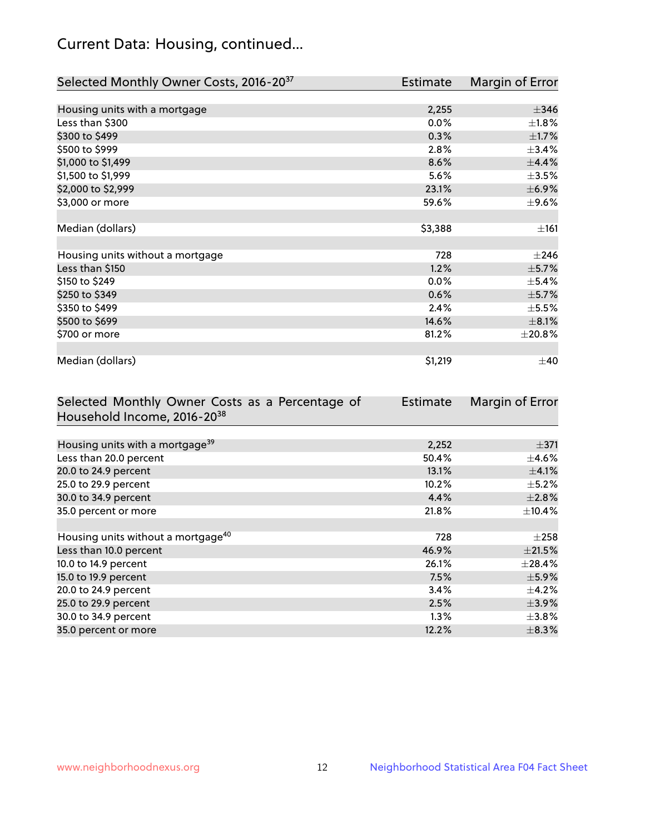# Current Data: Housing, continued...

| Selected Monthly Owner Costs, 2016-20 <sup>37</sup> | <b>Estimate</b> | Margin of Error |
|-----------------------------------------------------|-----------------|-----------------|
|                                                     |                 |                 |
| Housing units with a mortgage                       | 2,255           | $\pm$ 346       |
| Less than \$300                                     | 0.0%            | $\pm 1.8\%$     |
| \$300 to \$499                                      | 0.3%            | $\pm1.7\%$      |
| \$500 to \$999                                      | 2.8%            | ±3.4%           |
| \$1,000 to \$1,499                                  | 8.6%            | ±4.4%           |
| \$1,500 to \$1,999                                  | 5.6%            | $\pm$ 3.5%      |
| \$2,000 to \$2,999                                  | 23.1%           | $\pm$ 6.9%      |
| \$3,000 or more                                     | 59.6%           | $\pm$ 9.6%      |
|                                                     |                 |                 |
| Median (dollars)                                    | \$3,388         | ±161            |
|                                                     |                 |                 |
| Housing units without a mortgage                    | 728             | $\pm 246$       |
| Less than \$150                                     | 1.2%            | $\pm$ 5.7%      |
| \$150 to \$249                                      | 0.0%            | $\pm$ 5.4%      |
| \$250 to \$349                                      | 0.6%            | $\pm$ 5.7%      |
| \$350 to \$499                                      | 2.4%            | $\pm$ 5.5%      |
| \$500 to \$699                                      | 14.6%           | $\pm$ 8.1%      |
| \$700 or more                                       | 81.2%           | $\pm 20.8\%$    |
|                                                     |                 |                 |
| Median (dollars)                                    | \$1,219         | $\pm 40$        |

| Selected Monthly Owner Costs as a Percentage of | <b>Estimate</b> | Margin of Error |
|-------------------------------------------------|-----------------|-----------------|
| Household Income, 2016-20 <sup>38</sup>         |                 |                 |
|                                                 |                 |                 |
| Housing units with a mortgage <sup>39</sup>     | 2,252           | $\pm$ 371       |
| Less than 20.0 percent                          | 50.4%           | $\pm$ 4.6%      |
| 20.0 to 24.9 percent                            | 13.1%           | $\pm$ 4.1%      |
| 25.0 to 29.9 percent                            | 10.2%           | $\pm$ 5.2%      |
| 30.0 to 34.9 percent                            | 4.4%            | $\pm 2.8\%$     |
| 35.0 percent or more                            | 21.8%           | $\pm$ 10.4%     |
|                                                 |                 |                 |
| Housing units without a mortgage <sup>40</sup>  | 728             | $\pm 258$       |
| Less than 10.0 percent                          | 46.9%           | $\pm 21.5\%$    |
| 10.0 to 14.9 percent                            | 26.1%           | $\pm 28.4\%$    |
| 15.0 to 19.9 percent                            | 7.5%            | $\pm$ 5.9%      |
| 20.0 to 24.9 percent                            | 3.4%            | $\pm$ 4.2%      |
| 25.0 to 29.9 percent                            | 2.5%            | $\pm$ 3.9%      |
| 30.0 to 34.9 percent                            | $1.3\%$         | $\pm 3.8\%$     |
| 35.0 percent or more                            | 12.2%           | $\pm$ 8.3%      |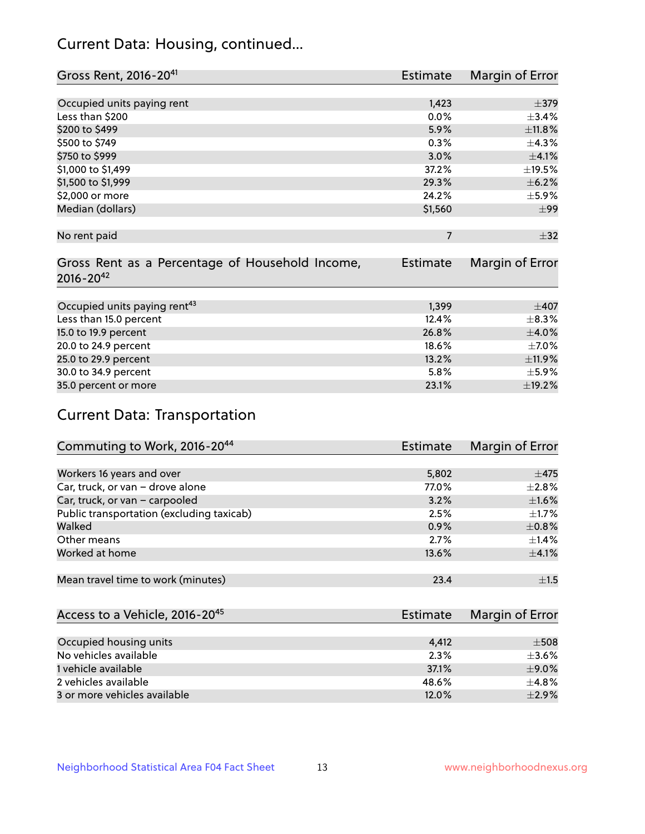# Current Data: Housing, continued...

| Gross Rent, 2016-20 <sup>41</sup>               | Estimate        | Margin of Error |
|-------------------------------------------------|-----------------|-----------------|
|                                                 |                 |                 |
| Occupied units paying rent                      | 1,423           | $\pm$ 379       |
| Less than \$200                                 | 0.0%            | ±3.4%           |
| \$200 to \$499                                  | 5.9%            | ±11.8%          |
| \$500 to \$749                                  | 0.3%            | ±4.3%           |
| \$750 to \$999                                  | 3.0%            | $\pm$ 4.1%      |
| \$1,000 to \$1,499                              | 37.2%           | $\pm$ 19.5%     |
| \$1,500 to \$1,999                              | 29.3%           | $\pm$ 6.2%      |
| \$2,000 or more                                 | 24.2%           | $\pm$ 5.9%      |
| Median (dollars)                                | \$1,560         | $\pm$ 99        |
|                                                 |                 |                 |
| No rent paid                                    | $\overline{7}$  | $\pm$ 32        |
|                                                 |                 |                 |
| Gross Rent as a Percentage of Household Income, | <b>Estimate</b> | Margin of Error |
| $2016 - 20^{42}$                                |                 |                 |
|                                                 |                 |                 |
| Occupied units paying rent <sup>43</sup>        | 1,399           | $\pm 407$       |
| Less than 15.0 percent                          | 12.4%           | $\pm$ 8.3%      |
| 15.0 to 19.9 percent                            | 26.8%           | $\pm$ 4.0%      |
| 20.0 to 24.9 percent                            | 18.6%           | $\pm$ 7.0%      |
| 25.0 to 29.9 percent                            | 13.2%           | ±11.9%          |
| 30.0 to 34.9 percent                            | 5.8%            | $\pm$ 5.9%      |
| 35.0 percent or more                            | 23.1%           | ±19.2%          |

# Current Data: Transportation

| Commuting to Work, 2016-20 <sup>44</sup>  | <b>Estimate</b> | Margin of Error |
|-------------------------------------------|-----------------|-----------------|
|                                           |                 |                 |
| Workers 16 years and over                 | 5,802           | $\pm$ 475       |
| Car, truck, or van - drove alone          | 77.0%           | $\pm 2.8\%$     |
| Car, truck, or van - carpooled            | 3.2%            | $\pm1.6\%$      |
| Public transportation (excluding taxicab) | 2.5%            | $\pm 1.7\%$     |
| Walked                                    | 0.9%            | $\pm$ 0.8%      |
| Other means                               | 2.7%            | $\pm$ 1.4%      |
| Worked at home                            | 13.6%           | $\pm$ 4.1%      |
|                                           |                 |                 |
| Mean travel time to work (minutes)        | 23.4            | ±1.5            |

| Access to a Vehicle, 2016-20 <sup>45</sup> | Estimate | Margin of Error |
|--------------------------------------------|----------|-----------------|
|                                            |          |                 |
| Occupied housing units                     | 4.412    | $\pm$ 508       |
| No vehicles available                      | 2.3%     | $\pm$ 3.6%      |
| 1 vehicle available                        | 37.1%    | $\pm$ 9.0%      |
| 2 vehicles available                       | 48.6%    | $+4.8%$         |
| 3 or more vehicles available               | 12.0%    | $+2.9%$         |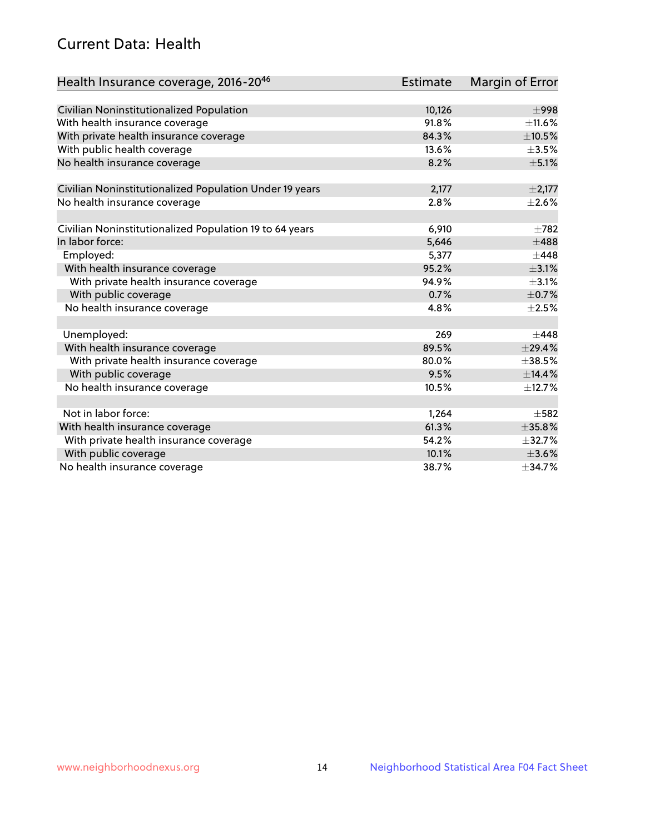# Current Data: Health

| Health Insurance coverage, 2016-2046                    | <b>Estimate</b> | Margin of Error |
|---------------------------------------------------------|-----------------|-----------------|
|                                                         |                 |                 |
| Civilian Noninstitutionalized Population                | 10,126          | $\pm$ 998       |
| With health insurance coverage                          | 91.8%           | $\pm$ 11.6%     |
| With private health insurance coverage                  | 84.3%           | $\pm 10.5\%$    |
| With public health coverage                             | 13.6%           | $\pm$ 3.5%      |
| No health insurance coverage                            | 8.2%            | $\pm$ 5.1%      |
| Civilian Noninstitutionalized Population Under 19 years | 2,177           | $\pm 2,177$     |
|                                                         | 2.8%            | $\pm 2.6\%$     |
| No health insurance coverage                            |                 |                 |
| Civilian Noninstitutionalized Population 19 to 64 years | 6,910           | $\pm 782$       |
| In labor force:                                         | 5,646           | $\pm 488$       |
| Employed:                                               | 5,377           | $\pm$ 448       |
| With health insurance coverage                          | 95.2%           | $\pm 3.1\%$     |
| With private health insurance coverage                  | 94.9%           | $\pm$ 3.1%      |
| With public coverage                                    | 0.7%            | $\pm$ 0.7%      |
| No health insurance coverage                            | 4.8%            | $\pm 2.5\%$     |
|                                                         |                 |                 |
| Unemployed:                                             | 269             | $\pm$ 448       |
| With health insurance coverage                          | 89.5%           | ±29.4%          |
| With private health insurance coverage                  | 80.0%           | $\pm$ 38.5%     |
| With public coverage                                    | 9.5%            | ±14.4%          |
| No health insurance coverage                            | 10.5%           | ±12.7%          |
|                                                         |                 |                 |
| Not in labor force:                                     | 1,264           | $\pm$ 582       |
| With health insurance coverage                          | 61.3%           | ±35.8%          |
| With private health insurance coverage                  | 54.2%           | $\pm$ 32.7%     |
| With public coverage                                    | 10.1%           | $\pm 3.6\%$     |
| No health insurance coverage                            | 38.7%           | ±34.7%          |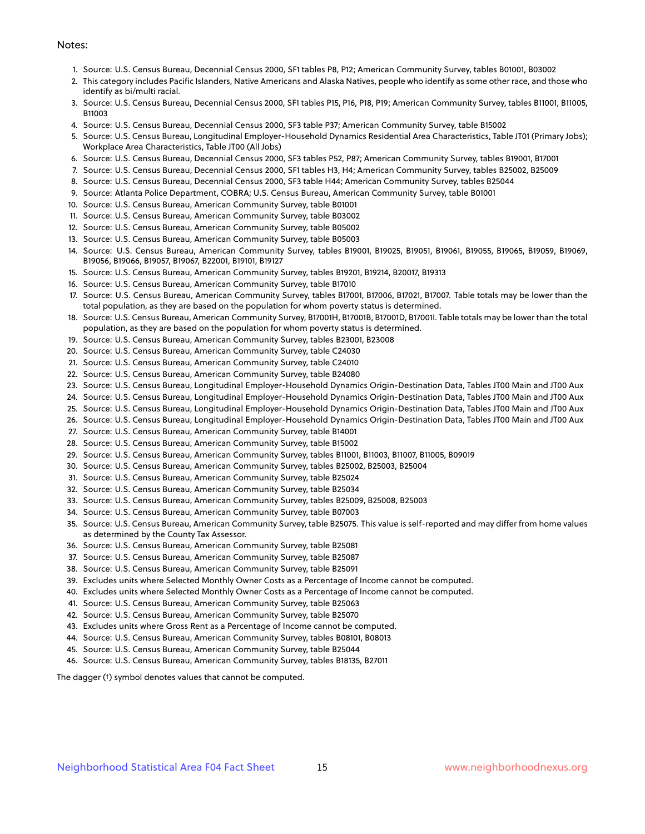#### Notes:

- 1. Source: U.S. Census Bureau, Decennial Census 2000, SF1 tables P8, P12; American Community Survey, tables B01001, B03002
- 2. This category includes Pacific Islanders, Native Americans and Alaska Natives, people who identify as some other race, and those who identify as bi/multi racial.
- 3. Source: U.S. Census Bureau, Decennial Census 2000, SF1 tables P15, P16, P18, P19; American Community Survey, tables B11001, B11005, B11003
- 4. Source: U.S. Census Bureau, Decennial Census 2000, SF3 table P37; American Community Survey, table B15002
- 5. Source: U.S. Census Bureau, Longitudinal Employer-Household Dynamics Residential Area Characteristics, Table JT01 (Primary Jobs); Workplace Area Characteristics, Table JT00 (All Jobs)
- 6. Source: U.S. Census Bureau, Decennial Census 2000, SF3 tables P52, P87; American Community Survey, tables B19001, B17001
- 7. Source: U.S. Census Bureau, Decennial Census 2000, SF1 tables H3, H4; American Community Survey, tables B25002, B25009
- 8. Source: U.S. Census Bureau, Decennial Census 2000, SF3 table H44; American Community Survey, tables B25044
- 9. Source: Atlanta Police Department, COBRA; U.S. Census Bureau, American Community Survey, table B01001
- 10. Source: U.S. Census Bureau, American Community Survey, table B01001
- 11. Source: U.S. Census Bureau, American Community Survey, table B03002
- 12. Source: U.S. Census Bureau, American Community Survey, table B05002
- 13. Source: U.S. Census Bureau, American Community Survey, table B05003
- 14. Source: U.S. Census Bureau, American Community Survey, tables B19001, B19025, B19051, B19061, B19055, B19065, B19059, B19069, B19056, B19066, B19057, B19067, B22001, B19101, B19127
- 15. Source: U.S. Census Bureau, American Community Survey, tables B19201, B19214, B20017, B19313
- 16. Source: U.S. Census Bureau, American Community Survey, table B17010
- 17. Source: U.S. Census Bureau, American Community Survey, tables B17001, B17006, B17021, B17007. Table totals may be lower than the total population, as they are based on the population for whom poverty status is determined.
- 18. Source: U.S. Census Bureau, American Community Survey, B17001H, B17001B, B17001D, B17001I. Table totals may be lower than the total population, as they are based on the population for whom poverty status is determined.
- 19. Source: U.S. Census Bureau, American Community Survey, tables B23001, B23008
- 20. Source: U.S. Census Bureau, American Community Survey, table C24030
- 21. Source: U.S. Census Bureau, American Community Survey, table C24010
- 22. Source: U.S. Census Bureau, American Community Survey, table B24080
- 23. Source: U.S. Census Bureau, Longitudinal Employer-Household Dynamics Origin-Destination Data, Tables JT00 Main and JT00 Aux
- 24. Source: U.S. Census Bureau, Longitudinal Employer-Household Dynamics Origin-Destination Data, Tables JT00 Main and JT00 Aux
- 25. Source: U.S. Census Bureau, Longitudinal Employer-Household Dynamics Origin-Destination Data, Tables JT00 Main and JT00 Aux
- 26. Source: U.S. Census Bureau, Longitudinal Employer-Household Dynamics Origin-Destination Data, Tables JT00 Main and JT00 Aux
- 27. Source: U.S. Census Bureau, American Community Survey, table B14001
- 28. Source: U.S. Census Bureau, American Community Survey, table B15002
- 29. Source: U.S. Census Bureau, American Community Survey, tables B11001, B11003, B11007, B11005, B09019
- 30. Source: U.S. Census Bureau, American Community Survey, tables B25002, B25003, B25004
- 31. Source: U.S. Census Bureau, American Community Survey, table B25024
- 32. Source: U.S. Census Bureau, American Community Survey, table B25034
- 33. Source: U.S. Census Bureau, American Community Survey, tables B25009, B25008, B25003
- 34. Source: U.S. Census Bureau, American Community Survey, table B07003
- 35. Source: U.S. Census Bureau, American Community Survey, table B25075. This value is self-reported and may differ from home values as determined by the County Tax Assessor.
- 36. Source: U.S. Census Bureau, American Community Survey, table B25081
- 37. Source: U.S. Census Bureau, American Community Survey, table B25087
- 38. Source: U.S. Census Bureau, American Community Survey, table B25091
- 39. Excludes units where Selected Monthly Owner Costs as a Percentage of Income cannot be computed.
- 40. Excludes units where Selected Monthly Owner Costs as a Percentage of Income cannot be computed.
- 41. Source: U.S. Census Bureau, American Community Survey, table B25063
- 42. Source: U.S. Census Bureau, American Community Survey, table B25070
- 43. Excludes units where Gross Rent as a Percentage of Income cannot be computed.
- 44. Source: U.S. Census Bureau, American Community Survey, tables B08101, B08013
- 45. Source: U.S. Census Bureau, American Community Survey, table B25044
- 46. Source: U.S. Census Bureau, American Community Survey, tables B18135, B27011

The dagger (†) symbol denotes values that cannot be computed.